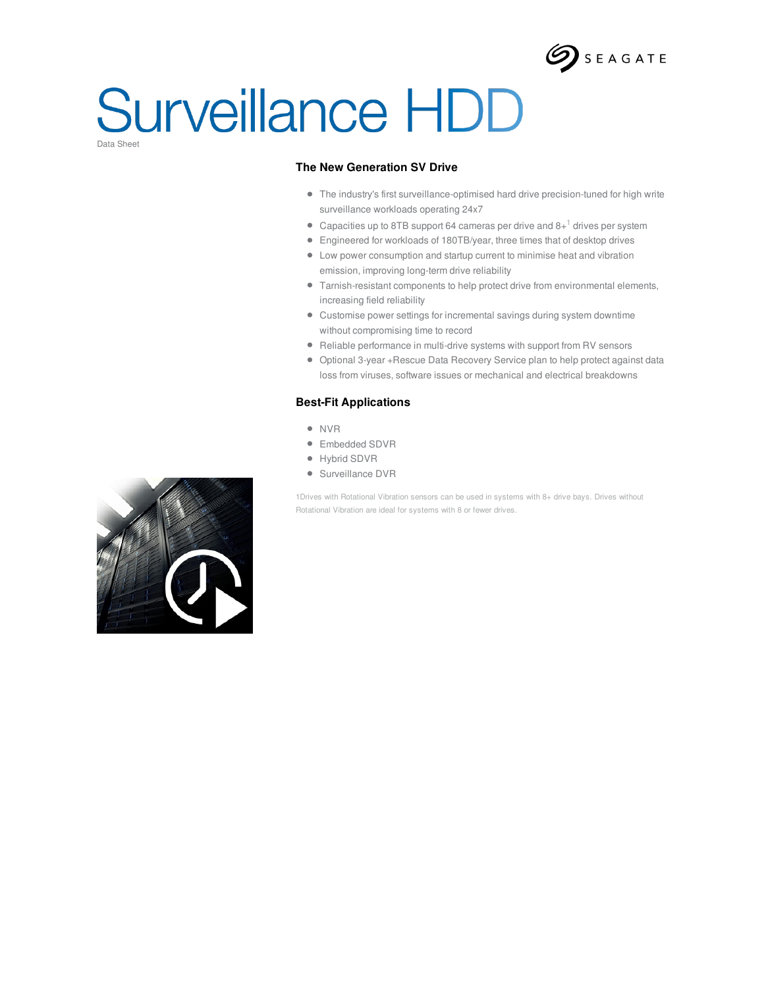

### **Surveillance HDD** Data Sheet

### **The New Generation SV Drive**

- The industry's first surveillance-optimised hard drive precision-tuned for high write surveillance workloads operating 24x7
- Capacities up to 8TB support 64 cameras per drive and 8+ $^1$  drives per system
- Engineered for workloads of 180TB/year, three times that of desktop drives
- Low power consumption and startup current to minimise heat and vibration emission, improving long-term drive reliability
- Tarnish-resistant components to help protect drive from environmental elements, increasing field reliability
- Customise power settings for incremental savings during system downtime without compromising time to record
- Reliable performance in multi-drive systems with support from RV sensors
- Optional 3-year +Rescue Data Recovery Service plan to help protect against data loss from viruses, software issues or mechanical and electrical breakdowns

#### **Best-Fit Applications**

- NVR
- Embedded SDVR
- Hybrid SDVR
- Surveillance DVR

1Drives with Rotational Vibration sensors can be used in systems with 8+ drive bays. Drives without Rotational Vibration are ideal for systems with 8 or fewer drives.

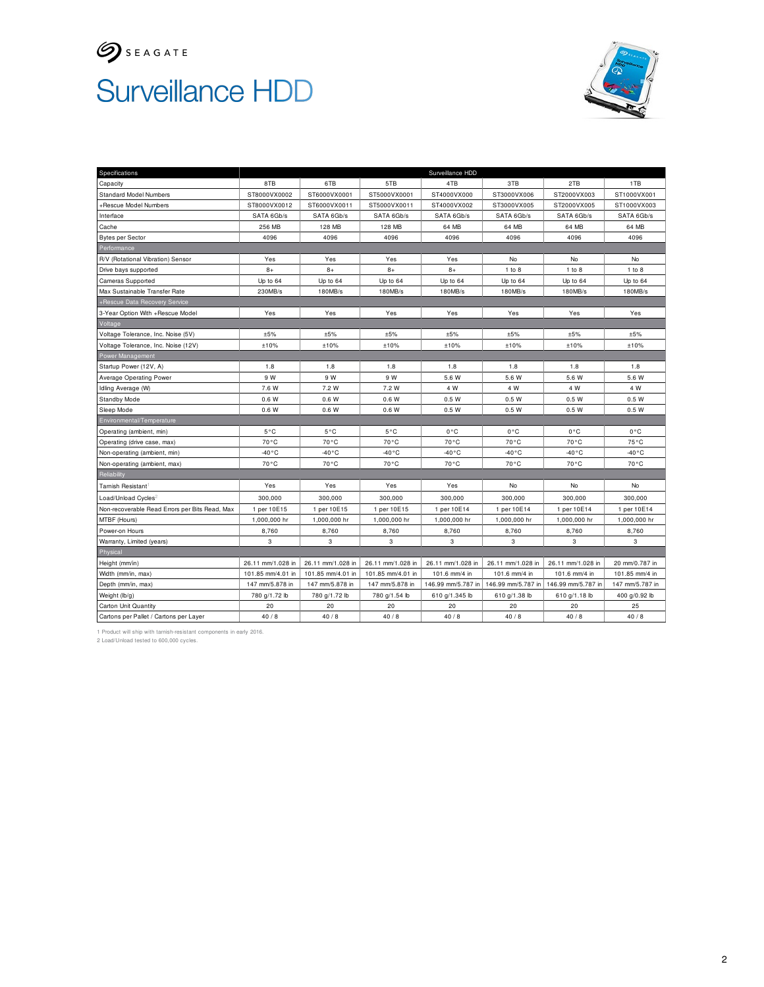

# Surveillance HDD



| Specifications                                 | Surveillance HDD  |                   |                   |                    |                    |                    |                 |  |
|------------------------------------------------|-------------------|-------------------|-------------------|--------------------|--------------------|--------------------|-----------------|--|
| Capacity                                       | 8TB               | 6TB               | 5TB               | 4TB                | 3TB                | 2TB                | 1TB             |  |
| <b>Standard Model Numbers</b>                  | ST8000VX0002      | ST6000VX0001      | ST5000VX0001      | ST4000VX000        | ST3000VX006        | ST2000VX003        | ST1000VX001     |  |
| +Rescue Model Numbers                          | ST8000VX0012      | ST6000VX0011      | ST5000VX0011      | ST4000VX002        | ST3000VX005        | ST2000VX005        | ST1000VX003     |  |
| Interface                                      | SATA 6Gb/s        | SATA 6Gb/s        | SATA 6Gb/s        | SATA 6Gb/s         | SATA 6Gb/s         | SATA 6Gb/s         | SATA 6Gb/s      |  |
| Cache                                          | 256 MB            | 128 MB            | 128 MB            | 64 MB              | 64 MB              | 64 MB              | 64 MB           |  |
| <b>Bytes per Sector</b>                        | 4096              | 4096              | 4096              | 4096               | 4096               | 4096               | 4096            |  |
| Performance                                    |                   |                   |                   |                    |                    |                    |                 |  |
| R/V (Rotational Vibration) Sensor              | Yes               | Yes               | Yes               | Yes                | No                 | No                 | No              |  |
| Drive bays supported                           | $8+$              | $8+$              | $8+$              | $8+$               | 1 to 8             | $1$ to $8$         | 1 to 8          |  |
| <b>Cameras Supported</b>                       | Up to 64          | Up to 64          | Up to 64          | Up to 64           | Up to 64           | Up to 64           | Up to 64        |  |
| Max Sustainable Transfer Rate                  | 230MB/s           | 180MB/s           | 180MB/s           | 180MB/s            | 180MB/s            | 180MB/s            | 180MB/s         |  |
| +Rescue Data Recovery Service                  |                   |                   |                   |                    |                    |                    |                 |  |
| 3-Year Option With +Rescue Model               | Yes               | Yes               | Yes               | Yes                | Yes                | Yes                | Yes             |  |
| Voltage                                        |                   |                   |                   |                    |                    |                    |                 |  |
| Voltage Tolerance, Inc. Noise (5V)             | ±5%               | ±5%               | ±5%               | ±5%                | ±5%                | ±5%                | ±5%             |  |
| Voltage Tolerance, Inc. Noise (12V)            | ±10%              | ±10%              | ±10%              | ±10%               | ±10%               | ±10%               | ±10%            |  |
| Power Management                               |                   |                   |                   |                    |                    |                    |                 |  |
| Startup Power (12V, A)                         | 1.8               | 1.8               | 1.8               | 1.8                | 1.8                | 1.8                | 1.8             |  |
| Average Operating Power                        | 9 W               | 9 W               | 9 W               | 5.6 W              | 5.6 W              | 5.6 W              | 5.6 W           |  |
| Idling Average (W)                             | 7.6 W             | 7.2 W             | 7.2 W             | 4 W                | 4 W                | 4 W                | 4 W             |  |
| Standby Mode                                   | 0.6 W             | 0.6W              | 0.6W              | 0.5W               | 0.5W               | 0.5W               | 0.5W            |  |
| Sleep Mode                                     | 0.6W              | 0.6W              | 0.6W              | 0.5W               | 0.5W               | 0.5W               | 0.5W            |  |
| Environmental/Temperature                      |                   |                   |                   |                    |                    |                    |                 |  |
| Operating (ambient, min)                       | $5^{\circ}$ C     | 5°C               | $5^{\circ}$ C     | $0^{\circ}C$       | $0^{\circ}C$       | $0^{\circ}C$       | $0^{\circ}C$    |  |
| Operating (drive case, max)                    | 70°C              | 70°C              | 70°C              | 70 °C              | 70°C               | 70 °C              | 75°C            |  |
| Non-operating (ambient, min)                   | $-40 °C$          | -40°C             | $-40^{\circ}$ C   | $-40^{\circ}$ C    | $-40^{\circ}$ C    | $-40^{\circ}$ C    | -40 °C          |  |
| Non-operating (ambient, max)                   | $70^{\circ}$ C    | 70 °C             | 70 °C             | $70^{\circ}$ C     | 70 °C              | $70^{\circ}$ C     | 70°C            |  |
| Reliability                                    |                   |                   |                   |                    |                    |                    |                 |  |
| <b>Tarnish Resistant</b>                       | Yes               | Yes               | Yes               | Yes                | <b>No</b>          | No                 | <b>No</b>       |  |
| Load/Unload Cycles                             | 300,000           | 300,000           | 300,000           | 300,000            | 300,000            | 300,000            | 300,000         |  |
| Non-recoverable Read Errors per Bits Read, Max | 1 per 10E15       | 1 per 10E15       | 1 per 10E15       | 1 per 10E14        | 1 per 10E14        | 1 per 10E14        | 1 per 10E14     |  |
| MTBF (Hours)                                   | 1,000,000 hr      | 1,000,000 hr      | 1,000,000 hr      | 1,000,000 hr       | 1,000,000 hr       | 1,000,000 hr       | 1,000,000 hr    |  |
| Power-on Hours                                 | 8,760             | 8,760             | 8,760             | 8,760              | 8,760              | 8,760              | 8,760           |  |
| Warranty, Limited (years)                      | 3                 | 3                 | 3                 | 3                  | 3                  | 3                  | 3               |  |
| Physical                                       |                   |                   |                   |                    |                    |                    |                 |  |
| Height (mm/in)                                 | 26.11 mm/1.028 in | 26.11 mm/1.028 in | 26.11 mm/1.028 in | 26.11 mm/1.028 in  | 26.11 mm/1.028 in  | 26.11 mm/1.028 in  | 20 mm/0.787 in  |  |
| Width (mm/in, max)                             | 101.85 mm/4.01 in | 101.85 mm/4.01 in | 101.85 mm/4.01 in | 101.6 mm/4 in      | 101.6 mm/4 in      | 101.6 mm/4 in      | 101.85 mm/4 in  |  |
| Depth (mm/in, max)                             | 147 mm/5.878 in   | 147 mm/5.878 in   | 147 mm/5.878 in   | 146.99 mm/5.787 in | 146.99 mm/5.787 in | 146.99 mm/5.787 in | 147 mm/5.787 in |  |
| Weight (lb/g)                                  | 780 g/1.72 lb     | 780 g/1.72 lb     | 780 g/1.54 lb     | 610 g/1.345 lb     | 610 g/1.38 lb      | 610 g/1.18 lb      | 400 g/0.92 lb   |  |
| Carton Unit Quantity                           | 20                | 20                | 20                | 20                 | 20                 | 20                 | 25              |  |
| Cartons per Pallet / Cartons per Layer         | 40/8              | 40/8              | $40/8$            | 40/8               | 40/8               | 40/8               | 40/8            |  |

1 Product will ship with tarnish-resistant components in early 2016. 2 Load/Unload tested to 600,000 cycles.